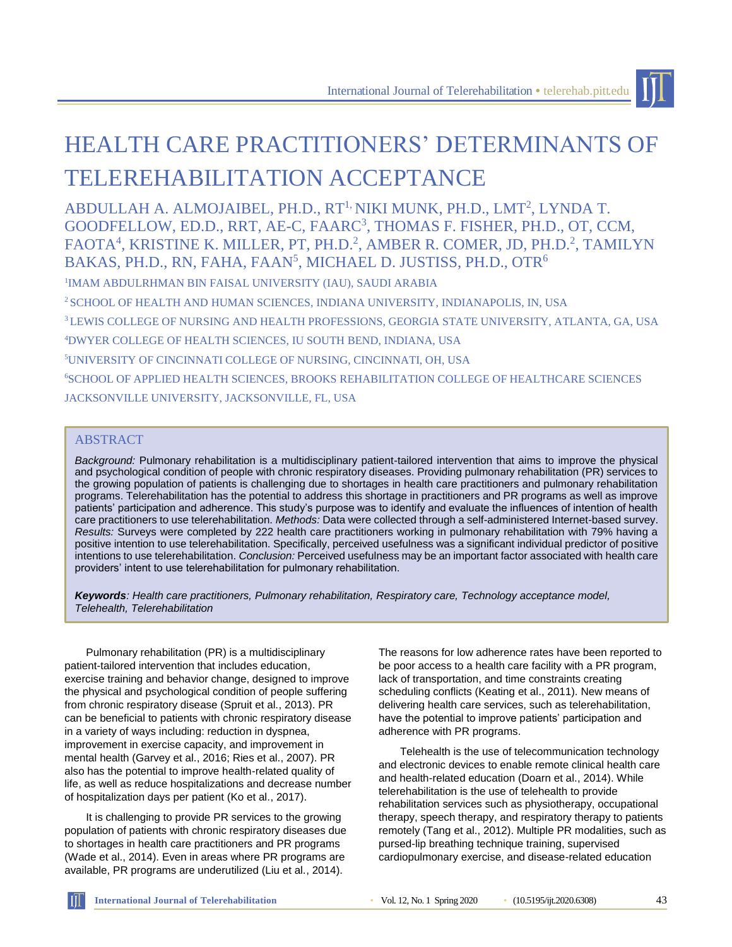

# HEALTH CARE PRACTITIONERS' DETERMINANTS OF TELEREHABILITATION ACCEPTANCE

ABDULLAH A. ALMOJAIBEL, PH.D., RT<sup>1,</sup> NIKI MUNK, PH.D., LMT<sup>2</sup>, LYNDA T. GOODFELLOW, ED.D., RRT, AE-C, FAARC<sup>3</sup>, THOMAS F. FISHER, PH.D., OT, CCM, FAOTA<sup>4</sup>, KRISTINE K. MILLER, PT, PH.D.<sup>2</sup>, AMBER R. COMER, JD, PH.D.<sup>2</sup>, TAMILYN BAKAS, PH.D., RN, FAHA, FAAN $^5$ , MICHAEL D. JUSTISS, PH.D., OTR $^6$ 

1 IMAM ABDULRHMAN BIN FAISAL UNIVERSITY (IAU), SAUDI ARABIA

<sup>2</sup> SCHOOL OF HEALTH AND HUMAN SCIENCES, INDIANA UNIVERSITY, INDIANAPOLIS, IN, USA

<sup>3</sup>LEWIS COLLEGE OF NURSING AND HEALTH PROFESSIONS, GEORGIA STATE UNIVERSITY, ATLANTA, GA, USA

<sup>4</sup>DWYER COLLEGE OF HEALTH SCIENCES, IU SOUTH BEND, INDIANA, USA

<sup>5</sup>UNIVERSITY OF CINCINNATI COLLEGE OF NURSING, CINCINNATI, OH, USA

<sup>6</sup>SCHOOL OF APPLIED HEALTH SCIENCES, BROOKS REHABILITATION COLLEGE OF HEALTHCARE SCIENCES JACKSONVILLE UNIVERSITY, JACKSONVILLE, FL, USA

#### **ABSTRACT**

*Background:* Pulmonary rehabilitation is a multidisciplinary patient-tailored intervention that aims to improve the physical and psychological condition of people with chronic respiratory diseases. Providing pulmonary rehabilitation (PR) services to the growing population of patients is challenging due to shortages in health care practitioners and pulmonary rehabilitation programs. Telerehabilitation has the potential to address this shortage in practitioners and PR programs as well as improve patients' participation and adherence. This study's purpose was to identify and evaluate the influences of intention of health care practitioners to use telerehabilitation. *Methods:* Data were collected through a self-administered Internet-based survey. *Results:* Surveys were completed by 222 health care practitioners working in pulmonary rehabilitation with 79% having a positive intention to use telerehabilitation. Specifically, perceived usefulness was a significant individual predictor of positive intentions to use telerehabilitation. *Conclusion:* Perceived usefulness may be an important factor associated with health care providers' intent to use telerehabilitation for pulmonary rehabilitation.

*Keywords: Health care practitioners, Pulmonary rehabilitation, Respiratory care, Technology acceptance model, Telehealth, Telerehabilitation*

Pulmonary rehabilitation (PR) is a multidisciplinary patient-tailored intervention that includes education, exercise training and behavior change, designed to improve the physical and psychological condition of people suffering from chronic respiratory disease (Spruit et al., 2013). PR can be beneficial to patients with chronic respiratory disease in a variety of ways including: reduction in dyspnea, improvement in exercise capacity, and improvement in mental health (Garvey et al., 2016; Ries et al., 2007). PR also has the potential to improve health-related quality of life, as well as reduce hospitalizations and decrease number of hospitalization days per patient (Ko et al., 2017).

It is challenging to provide PR services to the growing population of patients with chronic respiratory diseases due to shortages in health care practitioners and PR programs (Wade et al., 2014). Even in areas where PR programs are available, PR programs are underutilized (Liu et al., 2014).

The reasons for low adherence rates have been reported to be poor access to a health care facility with a PR program, lack of transportation, and time constraints creating scheduling conflicts (Keating et al., 2011). New means of delivering health care services, such as telerehabilitation, have the potential to improve patients' participation and adherence with PR programs.

Telehealth is the use of telecommunication technology and electronic devices to enable remote clinical health care and health-related education (Doarn et al., 2014). While telerehabilitation is the use of telehealth to provide rehabilitation services such as physiotherapy, occupational therapy, speech therapy, and respiratory therapy to patients remotely (Tang et al., 2012). Multiple PR modalities, such as pursed-lip breathing technique training, supervised cardiopulmonary exercise, and disease-related education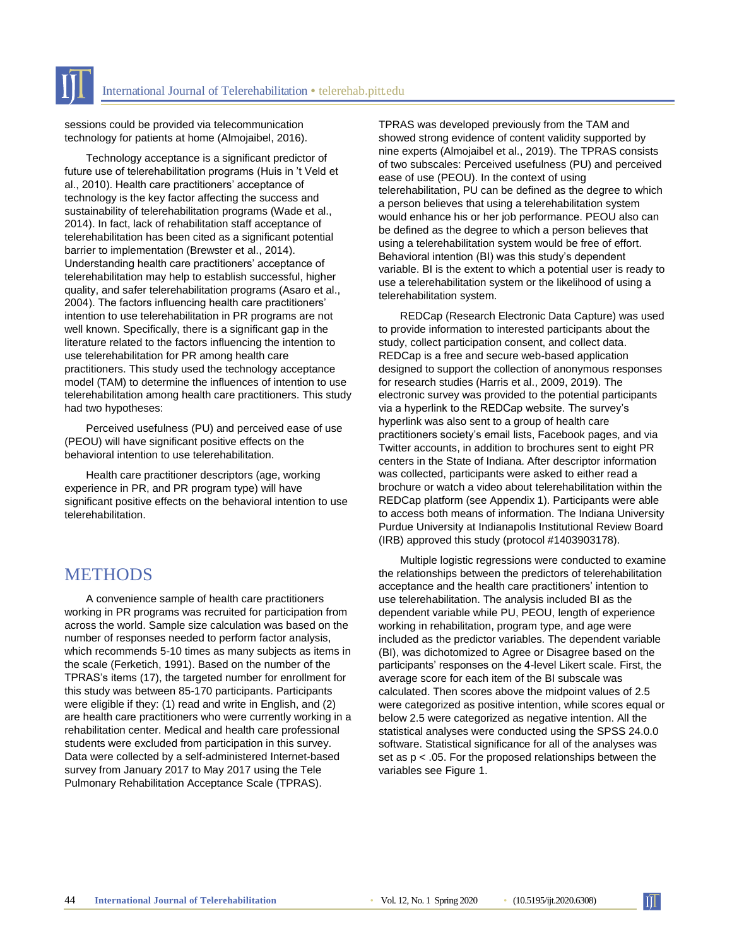sessions could be provided via telecommunication technology for patients at home (Almojaibel, 2016).

Technology acceptance is a significant predictor of future use of telerehabilitation programs (Huis in 't Veld et al., 2010). Health care practitioners' acceptance of technology is the key factor affecting the success and sustainability of telerehabilitation programs (Wade et al., 2014). In fact, lack of rehabilitation staff acceptance of telerehabilitation has been cited as a significant potential barrier to implementation (Brewster et al., 2014). Understanding health care practitioners' acceptance of telerehabilitation may help to establish successful, higher quality, and safer telerehabilitation programs (Asaro et al., 2004). The factors influencing health care practitioners' intention to use telerehabilitation in PR programs are not well known. Specifically, there is a significant gap in the literature related to the factors influencing the intention to use telerehabilitation for PR among health care practitioners. This study used the technology acceptance model (TAM) to determine the influences of intention to use telerehabilitation among health care practitioners. This study had two hypotheses:

Perceived usefulness (PU) and perceived ease of use (PEOU) will have significant positive effects on the behavioral intention to use telerehabilitation.

Health care practitioner descriptors (age, working experience in PR, and PR program type) will have significant positive effects on the behavioral intention to use telerehabilitation.

## **METHODS**

A convenience sample of health care practitioners working in PR programs was recruited for participation from across the world. Sample size calculation was based on the number of responses needed to perform factor analysis, which recommends 5-10 times as many subjects as items in the scale (Ferketich, 1991). Based on the number of the TPRAS's items (17), the targeted number for enrollment for this study was between 85-170 participants. Participants were eligible if they: (1) read and write in English, and (2) are health care practitioners who were currently working in a rehabilitation center. Medical and health care professional students were excluded from participation in this survey. Data were collected by a self-administered Internet-based survey from January 2017 to May 2017 using the Tele Pulmonary Rehabilitation Acceptance Scale (TPRAS).

TPRAS was developed previously from the TAM and showed strong evidence of content validity supported by nine experts (Almojaibel et al., 2019). The TPRAS consists of two subscales: Perceived usefulness (PU) and perceived ease of use (PEOU). In the context of using telerehabilitation, PU can be defined as the degree to which a person believes that using a telerehabilitation system would enhance his or her job performance. PEOU also can be defined as the degree to which a person believes that using a telerehabilitation system would be free of effort. Behavioral intention (BI) was this study's dependent variable. BI is the extent to which a potential user is ready to use a telerehabilitation system or the likelihood of using a telerehabilitation system.

REDCap (Research Electronic Data Capture) was used to provide information to interested participants about the study, collect participation consent, and collect data. REDCap is a free and secure web-based application designed to support the collection of anonymous responses for research studies (Harris et al., 2009, 2019). The electronic survey was provided to the potential participants via a hyperlink to the REDCap website. The survey's hyperlink was also sent to a group of health care practitioners society's email lists, Facebook pages, and via Twitter accounts, in addition to brochures sent to eight PR centers in the State of Indiana. After descriptor information was collected, participants were asked to either read a brochure or watch a video about telerehabilitation within the REDCap platform (see Appendix 1). Participants were able to access both means of information. The Indiana University Purdue University at Indianapolis Institutional Review Board (IRB) approved this study (protocol #1403903178).

Multiple logistic regressions were conducted to examine the relationships between the predictors of telerehabilitation acceptance and the health care practitioners' intention to use telerehabilitation. The analysis included BI as the dependent variable while PU, PEOU, length of experience working in rehabilitation, program type, and age were included as the predictor variables. The dependent variable (BI), was dichotomized to Agree or Disagree based on the participants' responses on the 4-level Likert scale. First, the average score for each item of the BI subscale was calculated. Then scores above the midpoint values of 2.5 were categorized as positive intention, while scores equal or below 2.5 were categorized as negative intention. All the statistical analyses were conducted using the SPSS 24.0.0 software. Statistical significance for all of the analyses was set as p < .05. For the proposed relationships between the variables see Figure 1.

 $\mathbb{H}$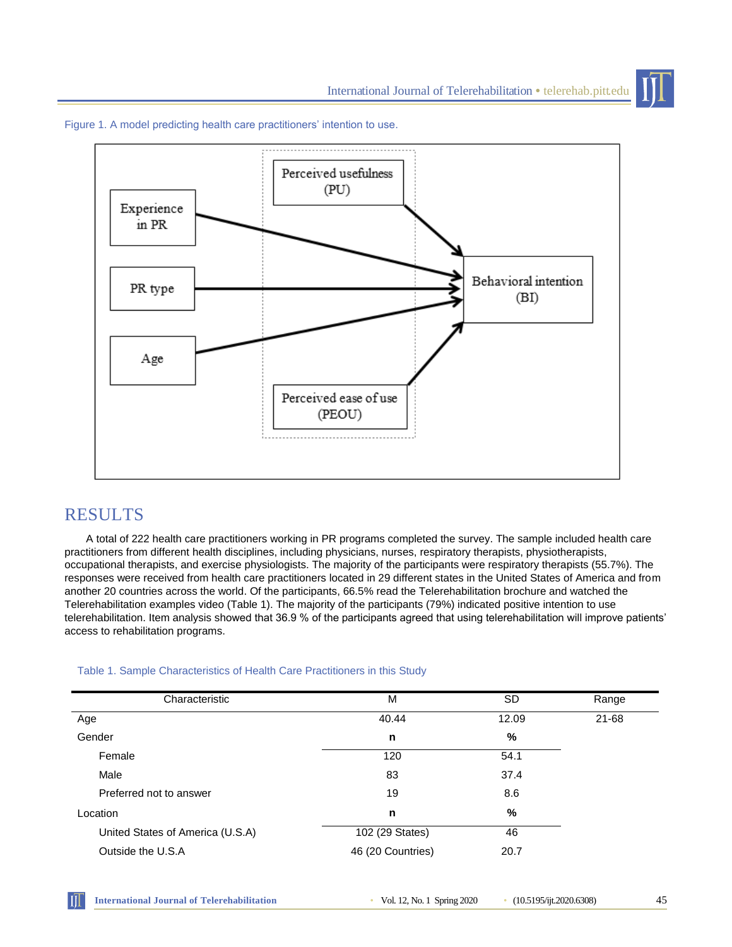

Figure 1. A model predicting health care practitioners' intention to use.

## RESULTS

A total of 222 health care practitioners working in PR programs completed the survey. The sample included health care practitioners from different health disciplines, including physicians, nurses, respiratory therapists, physiotherapists, occupational therapists, and exercise physiologists. The majority of the participants were respiratory therapists (55.7%). The responses were received from health care practitioners located in 29 different states in the United States of America and from another 20 countries across the world. Of the participants, 66.5% read the Telerehabilitation brochure and watched the Telerehabilitation examples video (Table 1). The majority of the participants (79%) indicated positive intention to use telerehabilitation. Item analysis showed that 36.9 % of the participants agreed that using telerehabilitation will improve patients' access to rehabilitation programs.

| Characteristic                   | M                 | <b>SD</b> | Range |  |
|----------------------------------|-------------------|-----------|-------|--|
| Age                              | 40.44             | 12.09     | 21-68 |  |
| Gender                           | n                 | %         |       |  |
| Female                           | 120               | 54.1      |       |  |
| Male                             | 83                | 37.4      |       |  |
| Preferred not to answer          | 19                | 8.6       |       |  |
| Location                         | n                 | %         |       |  |
| United States of America (U.S.A) | 102 (29 States)   | 46        |       |  |
| Outside the U.S.A                | 46 (20 Countries) | 20.7      |       |  |

#### Table 1. Sample Characteristics of Health Care Practitioners in this Study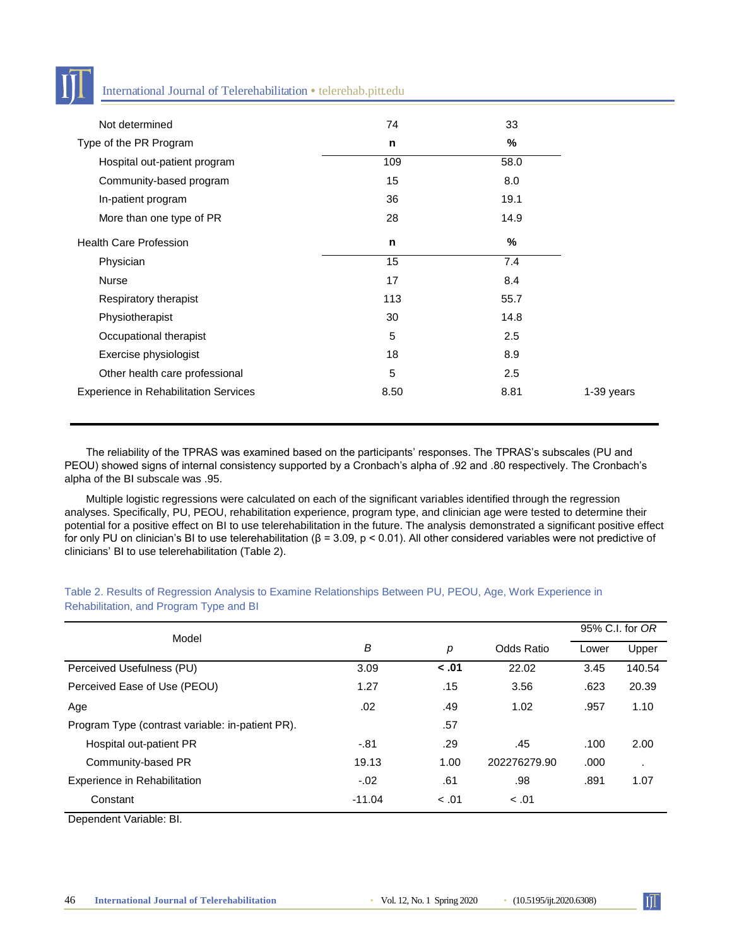

#### International Journal of Telerehabilitation • telerehab.pitt.edu

| Not determined                               | 74   | 33   |            |
|----------------------------------------------|------|------|------------|
| Type of the PR Program                       | n    | %    |            |
| Hospital out-patient program                 | 109  | 58.0 |            |
| Community-based program                      | 15   | 8.0  |            |
| In-patient program                           | 36   | 19.1 |            |
| More than one type of PR                     | 28   | 14.9 |            |
| <b>Health Care Profession</b>                | n    | $\%$ |            |
| Physician                                    | 15   | 7.4  |            |
| <b>Nurse</b>                                 | 17   | 8.4  |            |
| Respiratory therapist                        | 113  | 55.7 |            |
| Physiotherapist                              | 30   | 14.8 |            |
| Occupational therapist                       | 5    | 2.5  |            |
| Exercise physiologist                        | 18   | 8.9  |            |
| Other health care professional               | 5    | 2.5  |            |
| <b>Experience in Rehabilitation Services</b> | 8.50 | 8.81 | 1-39 years |

The reliability of the TPRAS was examined based on the participants' responses. The TPRAS's subscales (PU and PEOU) showed signs of internal consistency supported by a Cronbach's alpha of .92 and .80 respectively. The Cronbach's alpha of the BI subscale was .95.

Multiple logistic regressions were calculated on each of the significant variables identified through the regression analyses. Specifically, PU, PEOU, rehabilitation experience, program type, and clinician age were tested to determine their potential for a positive effect on BI to use telerehabilitation in the future. The analysis demonstrated a significant positive effect for only PU on clinician's BI to use telerehabilitation ( $β = 3.09$ ,  $p < 0.01$ ). All other considered variables were not predictive of clinicians' BI to use telerehabilitation (Table 2).

| Model                                            |          |       |              | 95% C.I. for OR |              |
|--------------------------------------------------|----------|-------|--------------|-----------------|--------------|
|                                                  | B        | р     | Odds Ratio   | Lower           | Upper        |
| Perceived Usefulness (PU)                        | 3.09     | < .01 | 22.02        | 3.45            | 140.54       |
| Perceived Ease of Use (PEOU)                     | 1.27     | .15   | 3.56         | .623            | 20.39        |
| Age                                              | .02      | .49   | 1.02         | .957            | 1.10         |
| Program Type (contrast variable: in-patient PR). |          | .57   |              |                 |              |
| Hospital out-patient PR                          | $-.81$   | .29   | .45          | .100            | 2.00         |
| Community-based PR                               | 19.13    | 1.00  | 202276279.90 | .000            | $\mathbf{r}$ |
| Experience in Rehabilitation                     | $-.02$   | .61   | .98          | .891            | 1.07         |
| Constant                                         | $-11.04$ | < .01 | < .01        |                 |              |

Table 2. Results of Regression Analysis to Examine Relationships Between PU, PEOU, Age, Work Experience in Rehabilitation, and Program Type and BI

Dependent Variable: BI.

 $\prod$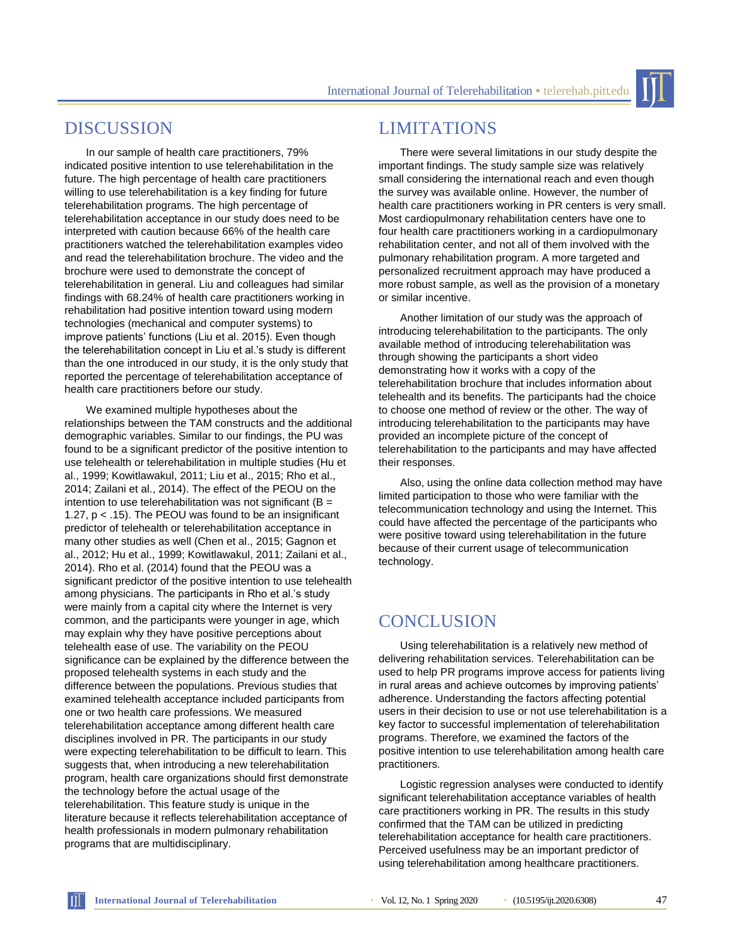International Journal of Telerehabilitation **•** telerehab.pitt.edu

## DISCUSSION

In our sample of health care practitioners, 79% indicated positive intention to use telerehabilitation in the future. The high percentage of health care practitioners willing to use telerehabilitation is a key finding for future telerehabilitation programs. The high percentage of telerehabilitation acceptance in our study does need to be interpreted with caution because 66% of the health care practitioners watched the telerehabilitation examples video and read the telerehabilitation brochure. The video and the brochure were used to demonstrate the concept of telerehabilitation in general. Liu and colleagues had similar findings with 68.24% of health care practitioners working in rehabilitation had positive intention toward using modern technologies (mechanical and computer systems) to improve patients' functions (Liu et al. 2015). Even though the telerehabilitation concept in Liu et al.'s study is different than the one introduced in our study, it is the only study that reported the percentage of telerehabilitation acceptance of health care practitioners before our study.

We examined multiple hypotheses about the relationships between the TAM constructs and the additional demographic variables. Similar to our findings, the PU was found to be a significant predictor of the positive intention to use telehealth or telerehabilitation in multiple studies (Hu et al., 1999; Kowitlawakul, 2011; Liu et al., 2015; Rho et al., 2014; Zailani et al., 2014). The effect of the PEOU on the intention to use telerehabilitation was not significant ( $B =$ 1.27, p < .15). The PEOU was found to be an insignificant predictor of telehealth or telerehabilitation acceptance in many other studies as well (Chen et al., 2015; Gagnon et al., 2012; Hu et al., 1999; Kowitlawakul, 2011; Zailani et al., 2014). Rho et al. (2014) found that the PEOU was a significant predictor of the positive intention to use telehealth among physicians. The participants in Rho et al.'s study were mainly from a capital city where the Internet is very common, and the participants were younger in age, which may explain why they have positive perceptions about telehealth ease of use. The variability on the PEOU significance can be explained by the difference between the proposed telehealth systems in each study and the difference between the populations. Previous studies that examined telehealth acceptance included participants from one or two health care professions. We measured telerehabilitation acceptance among different health care disciplines involved in PR. The participants in our study were expecting telerehabilitation to be difficult to learn. This suggests that, when introducing a new telerehabilitation program, health care organizations should first demonstrate the technology before the actual usage of the telerehabilitation. This feature study is unique in the literature because it reflects telerehabilitation acceptance of health professionals in modern pulmonary rehabilitation programs that are multidisciplinary.

### LIMITATIONS

There were several limitations in our study despite the important findings. The study sample size was relatively small considering the international reach and even though the survey was available online. However, the number of health care practitioners working in PR centers is very small. Most cardiopulmonary rehabilitation centers have one to four health care practitioners working in a cardiopulmonary rehabilitation center, and not all of them involved with the pulmonary rehabilitation program. A more targeted and personalized recruitment approach may have produced a more robust sample, as well as the provision of a monetary or similar incentive.

Another limitation of our study was the approach of introducing telerehabilitation to the participants. The only available method of introducing telerehabilitation was through showing the participants a short video demonstrating how it works with a copy of the telerehabilitation brochure that includes information about telehealth and its benefits. The participants had the choice to choose one method of review or the other. The way of introducing telerehabilitation to the participants may have provided an incomplete picture of the concept of telerehabilitation to the participants and may have affected their responses.

Also, using the online data collection method may have limited participation to those who were familiar with the telecommunication technology and using the Internet. This could have affected the percentage of the participants who were positive toward using telerehabilitation in the future because of their current usage of telecommunication technology.

## **CONCLUSION**

Using telerehabilitation is a relatively new method of delivering rehabilitation services. Telerehabilitation can be used to help PR programs improve access for patients living in rural areas and achieve outcomes by improving patients' adherence. Understanding the factors affecting potential users in their decision to use or not use telerehabilitation is a key factor to successful implementation of telerehabilitation programs. Therefore, we examined the factors of the positive intention to use telerehabilitation among health care practitioners.

Logistic regression analyses were conducted to identify significant telerehabilitation acceptance variables of health care practitioners working in PR. The results in this study confirmed that the TAM can be utilized in predicting telerehabilitation acceptance for health care practitioners. Perceived usefulness may be an important predictor of using telerehabilitation among healthcare practitioners.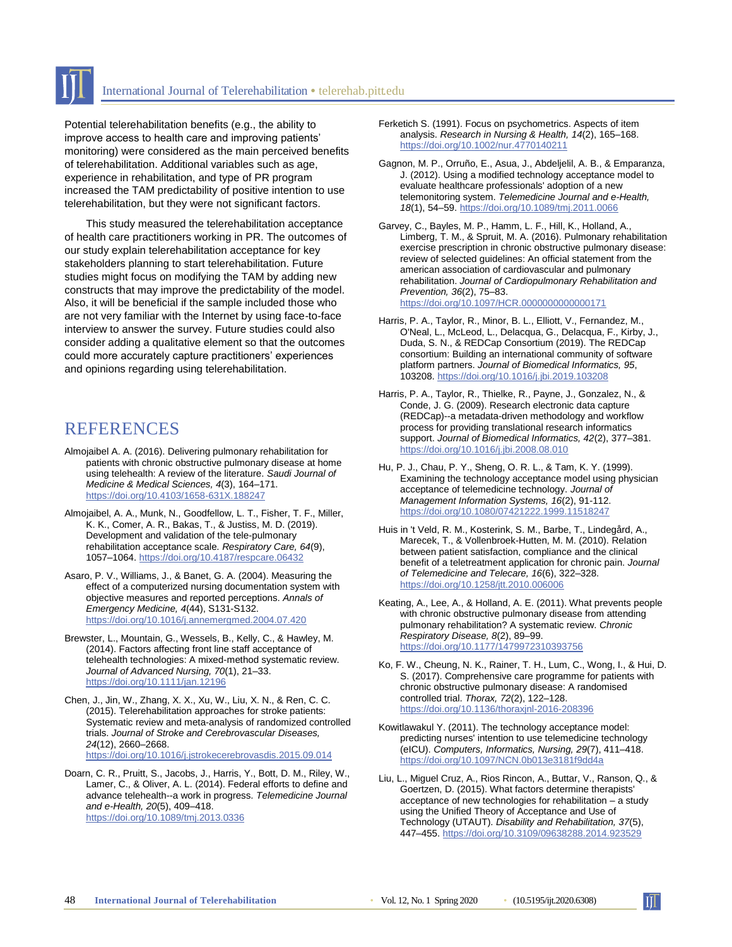

Potential telerehabilitation benefits (e.g., the ability to improve access to health care and improving patients' monitoring) were considered as the main perceived benefits of telerehabilitation. Additional variables such as age, experience in rehabilitation, and type of PR program increased the TAM predictability of positive intention to use telerehabilitation, but they were not significant factors.

This study measured the telerehabilitation acceptance of health care practitioners working in PR. The outcomes of our study explain telerehabilitation acceptance for key stakeholders planning to start telerehabilitation. Future studies might focus on modifying the TAM by adding new constructs that may improve the predictability of the model. Also, it will be beneficial if the sample included those who are not very familiar with the Internet by using face-to-face interview to answer the survey. Future studies could also consider adding a qualitative element so that the outcomes could more accurately capture practitioners' experiences and opinions regarding using telerehabilitation.

## REFERENCES

- Almojaibel A. A. (2016). Delivering pulmonary rehabilitation for patients with chronic obstructive pulmonary disease at home using telehealth: A review of the literature. *Saudi Journal of Medicine & Medical Sciences, 4*(3), 164–171. <https://doi.org/10.4103/1658-631X.188247>
- Almojaibel, A. A., Munk, N., Goodfellow, L. T., Fisher, T. F., Miller, K. K., Comer, A. R., Bakas, T., & Justiss, M. D. (2019). Development and validation of the tele-pulmonary rehabilitation acceptance scale. *Respiratory Care, 64*(9), 1057–1064[. https://doi.org/10.4187/respcare.06432](https://doi.org/10.4187/respcare.06432)
- Asaro, P. V., Williams, J., & Banet, G. A. (2004). Measuring the effect of a computerized nursing documentation system with objective measures and reported perceptions. *Annals of Emergency Medicine, 4*(44), S131-S132. <https://doi.org/10.1016/j.annemergmed.2004.07.420>
- Brewster, L., Mountain, G., Wessels, B., Kelly, C., & Hawley, M. (2014). Factors affecting front line staff acceptance of telehealth technologies: A mixed-method systematic review. *Journal of Advanced Nursing, 70*(1), 21–33. <https://doi.org/10.1111/jan.12196>
- Chen, J., Jin, W., Zhang, X. X., Xu, W., Liu, X. N., & Ren, C. C. (2015). Telerehabilitation approaches for stroke patients: Systematic review and meta-analysis of randomized controlled trials. *Journal of Stroke and Cerebrovascular Diseases, 24*(12), 2660–2668. <https://doi.org/10.1016/j.jstrokecerebrovasdis.2015.09.014>
- Doarn, C. R., Pruitt, S., Jacobs, J., Harris, Y., Bott, D. M., Riley, W., Lamer, C., & Oliver, A. L. (2014). Federal efforts to define and advance telehealth--a work in progress. *Telemedicine Journal and e-Health, 20*(5), 409–418. <https://doi.org/10.1089/tmj.2013.0336>
- Ferketich S. (1991). Focus on psychometrics. Aspects of item analysis. *Research in Nursing & Health, 14*(2), 165–168. <https://doi.org/10.1002/nur.4770140211>
- Gagnon, M. P., Orruño, E., Asua, J., Abdeljelil, A. B., & Emparanza, J. (2012). Using a modified technology acceptance model to evaluate healthcare professionals' adoption of a new telemonitoring system. *Telemedicine Journal and e-Health, 18*(1), 54–59[. https://doi.org/10.1089/tmj.2011.0066](https://doi.org/10.1089/tmj.2011.0066)
- Garvey, C., Bayles, M. P., Hamm, L. F., Hill, K., Holland, A., Limberg, T. M., & Spruit, M. A. (2016). Pulmonary rehabilitation exercise prescription in chronic obstructive pulmonary disease: review of selected guidelines: An official statement from the american association of cardiovascular and pulmonary rehabilitation. *Journal of Cardiopulmonary Rehabilitation and Prevention, 36*(2), 75–83. <https://doi.org/10.1097/HCR.0000000000000171>
- Harris, P. A., Taylor, R., Minor, B. L., Elliott, V., Fernandez, M., O'Neal, L., McLeod, L., Delacqua, G., Delacqua, F., Kirby, J., Duda, S. N., & REDCap Consortium (2019). The REDCap consortium: Building an international community of software platform partners. *Journal of Biomedical Informatics, 95*, 103208.<https://doi.org/10.1016/j.jbi.2019.103208>
- Harris, P. A., Taylor, R., Thielke, R., Payne, J., Gonzalez, N., & Conde, J. G. (2009). Research electronic data capture (REDCap)--a metadata-driven methodology and workflow process for providing translational research informatics support. *Journal of Biomedical Informatics, 42*(2), 377–381. <https://doi.org/10.1016/j.jbi.2008.08.010>
- Hu, P. J., Chau, P. Y., Sheng, O. R. L., & Tam, K. Y. (1999). Examining the technology acceptance model using physician acceptance of telemedicine technology. *Journal of Management Information Systems, 16*(2), 91-112. <https://doi.org/10.1080/07421222.1999.11518247>
- Huis in 't Veld, R. M., Kosterink, S. M., Barbe, T., Lindegård, A., Marecek, T., & Vollenbroek-Hutten, M. M. (2010). Relation between patient satisfaction, compliance and the clinical benefit of a teletreatment application for chronic pain. *Journal of Telemedicine and Telecare, 16*(6), 322–328. <https://doi.org/10.1258/jtt.2010.006006>
- Keating, A., Lee, A., & Holland, A. E. (2011). What prevents people with chronic obstructive pulmonary disease from attending pulmonary rehabilitation? A systematic review. *Chronic Respiratory Disease, 8*(2), 89–99. <https://doi.org/10.1177/1479972310393756>
- Ko, F. W., Cheung, N. K., Rainer, T. H., Lum, C., Wong, I., & Hui, D. S. (2017). Comprehensive care programme for patients with chronic obstructive pulmonary disease: A randomised controlled trial. *Thorax, 72*(2), 122–128. <https://doi.org/10.1136/thoraxjnl-2016-208396>
- Kowitlawakul Y. (2011). The technology acceptance model: predicting nurses' intention to use telemedicine technology (eICU). *Computers, Informatics, Nursing, 29*(7), 411–418. <https://doi.org/10.1097/NCN.0b013e3181f9dd4a>
- Liu, L., Miguel Cruz, A., Rios Rincon, A., Buttar, V., Ranson, Q., & Goertzen, D. (2015). What factors determine therapists' acceptance of new technologies for rehabilitation – a study using the Unified Theory of Acceptance and Use of Technology (UTAUT). *Disability and Rehabilitation, 37*(5), 447–455[. https://doi.org/10.3109/09638288.2014.923529](https://doi.org/10.3109/09638288.2014.923529)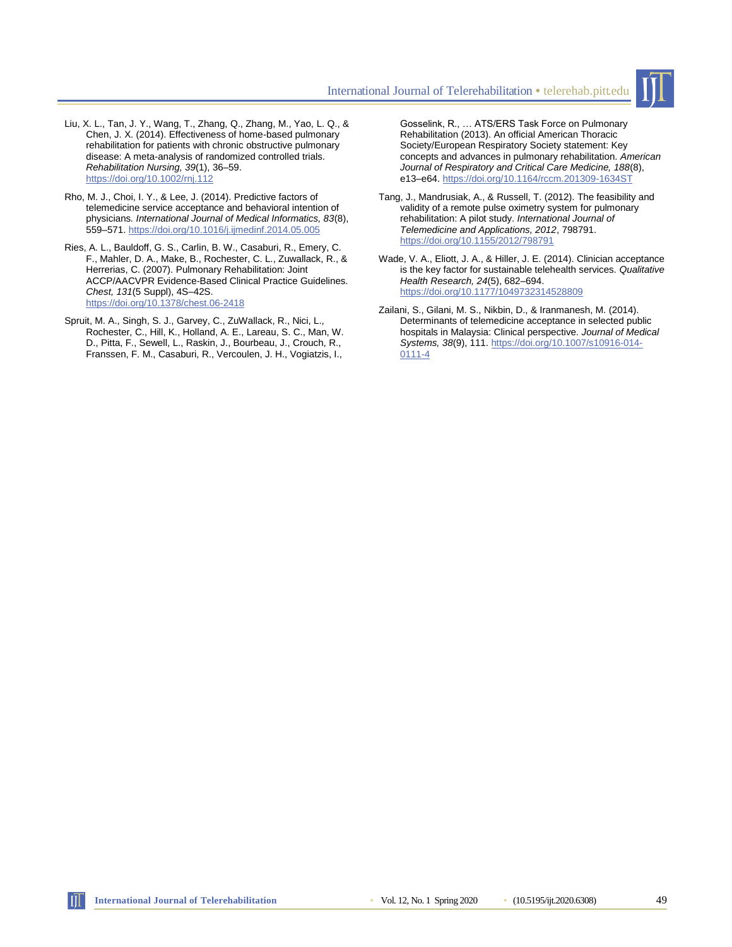

- Liu, X. L., Tan, J. Y., Wang, T., Zhang, Q., Zhang, M., Yao, L. Q., & Chen, J. X. (2014). Effectiveness of home-based pulmonary rehabilitation for patients with chronic obstructive pulmonary disease: A meta-analysis of randomized controlled trials. *Rehabilitation Nursing, 39*(1), 36–59. <https://doi.org/10.1002/rnj.112>
- Rho, M. J., Choi, I. Y., & Lee, J. (2014). Predictive factors of telemedicine service acceptance and behavioral intention of physicians*. International Journal of Medical Informatics, 83*(8), 559–571[. https://doi.org/10.1016/j.ijmedinf.2014.05.005](https://doi.org/10.1016/j.ijmedinf.2014.05.005)
- Ries, A. L., Bauldoff, G. S., Carlin, B. W., Casaburi, R., Emery, C. F., Mahler, D. A., Make, B., Rochester, C. L., Zuwallack, R., & Herrerias, C. (2007). Pulmonary Rehabilitation: Joint ACCP/AACVPR Evidence-Based Clinical Practice Guidelines. *Chest, 131*(5 Suppl), 4S–42S. <https://doi.org/10.1378/chest.06-2418>
- Spruit, M. A., Singh, S. J., Garvey, C., ZuWallack, R., Nici, L., Rochester, C., Hill, K., Holland, A. E., Lareau, S. C., Man, W. D., Pitta, F., Sewell, L., Raskin, J., Bourbeau, J., Crouch, R., Franssen, F. M., Casaburi, R., Vercoulen, J. H., Vogiatzis, I.,

Gosselink, R., … ATS/ERS Task Force on Pulmonary Rehabilitation (2013). An official American Thoracic Society/European Respiratory Society statement: Key concepts and advances in pulmonary rehabilitation. *American Journal of Respiratory and Critical Care Medicine, 188*(8), e13–e64[. https://doi.org/10.1164/rccm.201309-1634ST](https://doi.org/10.1164/rccm.201309-1634ST)

- Tang, J., Mandrusiak, A., & Russell, T. (2012). The feasibility and validity of a remote pulse oximetry system for pulmonary rehabilitation: A pilot study. *International Journal of Telemedicine and Applications, 2012*, 798791. <https://doi.org/10.1155/2012/798791>
- Wade, V. A., Eliott, J. A., & Hiller, J. E. (2014). Clinician acceptance is the key factor for sustainable telehealth services. *Qualitative Health Research, 24*(5), 682–694. <https://doi.org/10.1177/1049732314528809>
- Zailani, S., Gilani, M. S., Nikbin, D., & Iranmanesh, M. (2014). Determinants of telemedicine acceptance in selected public hospitals in Malaysia: Clinical perspective. *Journal of Medical Systems, 38*(9), 111. [https://doi.org/10.1007/s10916-014-](https://doi.org/10.1007/s10916-014-0111-4) [0111-4](https://doi.org/10.1007/s10916-014-0111-4)